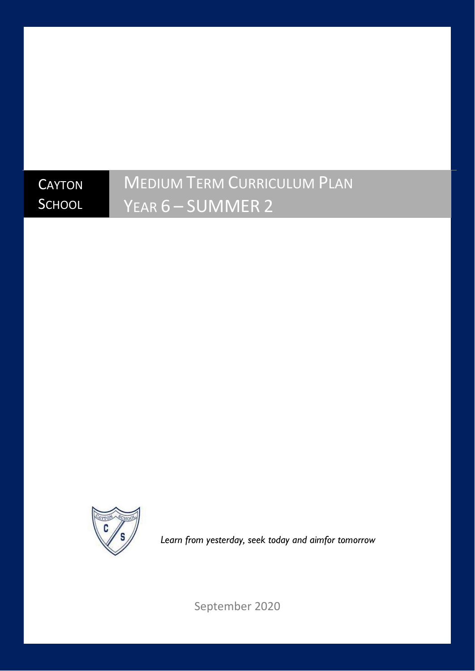## **CAYTON SCHOOL**

# MEDIUM TERM CURRICULUM PLAN YEAR 6 – SUMMER 2



*Learn from yesterday, seek today and aimfor tomorrow*

September 2020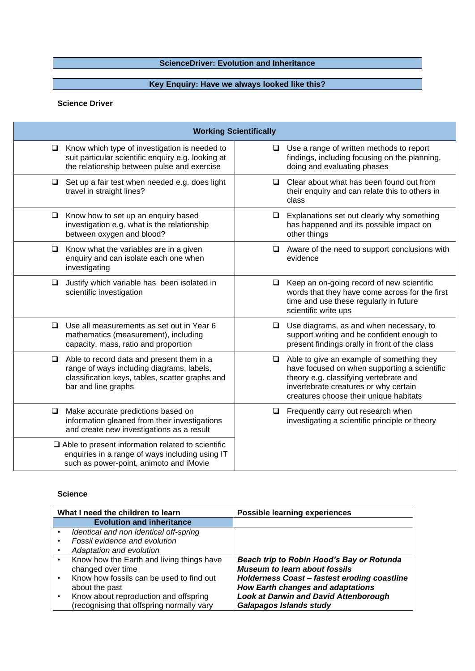## **ScienceDriver: Evolution and Inheritance**

### **Key Enquiry: Have we always looked like this?**

#### **Science Driver**

| <b>Working Scientifically</b>                                                                                                                                              |                                                                                                                                                                                                                             |  |
|----------------------------------------------------------------------------------------------------------------------------------------------------------------------------|-----------------------------------------------------------------------------------------------------------------------------------------------------------------------------------------------------------------------------|--|
| Know which type of investigation is needed to<br>$\Box$<br>suit particular scientific enquiry e.g. looking at<br>the relationship between pulse and exercise               | Use a range of written methods to report<br>$\Box$<br>findings, including focusing on the planning,<br>doing and evaluating phases                                                                                          |  |
| $\Box$<br>Set up a fair test when needed e.g. does light<br>travel in straight lines?                                                                                      | Clear about what has been found out from<br>$\Box$<br>their enquiry and can relate this to others in<br>class                                                                                                               |  |
| Know how to set up an enquiry based<br>$\Box$<br>investigation e.g. what is the relationship<br>between oxygen and blood?                                                  | Explanations set out clearly why something<br>□<br>has happened and its possible impact on<br>other things                                                                                                                  |  |
| $\Box$<br>Know what the variables are in a given<br>enquiry and can isolate each one when<br>investigating                                                                 | Aware of the need to support conclusions with<br>$\Box$<br>evidence                                                                                                                                                         |  |
| Justify which variable has been isolated in<br>$\Box$<br>scientific investigation                                                                                          | Keep an on-going record of new scientific<br>$\Box$<br>words that they have come across for the first<br>time and use these regularly in future<br>scientific write ups                                                     |  |
| Use all measurements as set out in Year 6<br>$\Box$<br>mathematics (measurement), including<br>capacity, mass, ratio and proportion                                        | Use diagrams, as and when necessary, to<br>$\Box$<br>support writing and be confident enough to<br>present findings orally in front of the class                                                                            |  |
| Able to record data and present them in a<br>$\Box$<br>range of ways including diagrams, labels,<br>classification keys, tables, scatter graphs and<br>bar and line graphs | Able to give an example of something they<br>□<br>have focused on when supporting a scientific<br>theory e.g. classifying vertebrate and<br>invertebrate creatures or why certain<br>creatures choose their unique habitats |  |
| Make accurate predictions based on<br>❏<br>information gleaned from their investigations<br>and create new investigations as a result                                      | Frequently carry out research when<br>□<br>investigating a scientific principle or theory                                                                                                                                   |  |
| $\Box$ Able to present information related to scientific<br>enquiries in a range of ways including using IT<br>such as power-point, animoto and iMovie                     |                                                                                                                                                                                                                             |  |

#### **Science**

| What I need the children to learn         | <b>Possible learning experiences</b>         |
|-------------------------------------------|----------------------------------------------|
| <b>Evolution and inheritance</b>          |                                              |
| Identical and non identical off-spring    |                                              |
| Fossil evidence and evolution             |                                              |
| Adaptation and evolution                  |                                              |
| Know how the Earth and living things have | Beach trip to Robin Hood's Bay or Rotunda    |
| changed over time                         | <b>Museum to learn about fossils</b>         |
| Know how fossils can be used to find out  | Holderness Coast - fastest eroding coastline |
| about the past                            | <b>How Earth changes and adaptations</b>     |
| Know about reproduction and offspring     | <b>Look at Darwin and David Attenborough</b> |
| (recognising that offspring normally vary | <b>Galapagos Islands study</b>               |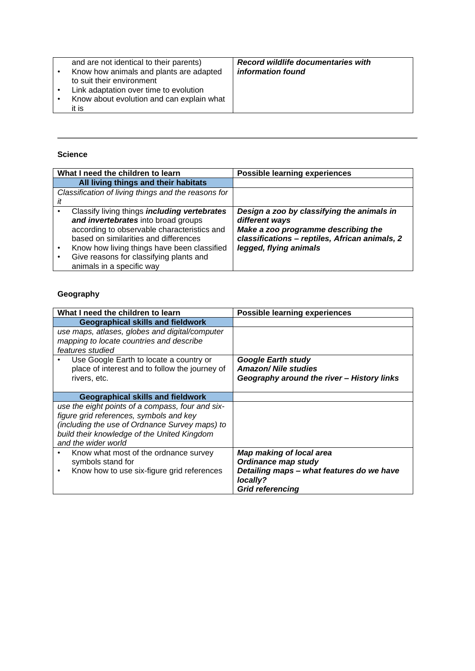| and are not identical to their parents)<br>Know how animals and plants are adapted<br>to suit their environment | <b>Record wildlife documentaries with</b><br>information found |
|-----------------------------------------------------------------------------------------------------------------|----------------------------------------------------------------|
| Link adaptation over time to evolution<br>Know about evolution and can explain what<br>it is                    |                                                                |

#### **Science**

| What I need the children to learn                                                                                                                                                                                                                                                                         | <b>Possible learning experiences</b>                                                                                                                                            |
|-----------------------------------------------------------------------------------------------------------------------------------------------------------------------------------------------------------------------------------------------------------------------------------------------------------|---------------------------------------------------------------------------------------------------------------------------------------------------------------------------------|
| All living things and their habitats                                                                                                                                                                                                                                                                      |                                                                                                                                                                                 |
| Classification of living things and the reasons for                                                                                                                                                                                                                                                       |                                                                                                                                                                                 |
| it                                                                                                                                                                                                                                                                                                        |                                                                                                                                                                                 |
| Classify living things <i>including vertebrates</i><br>and invertebrates into broad groups<br>according to observable characteristics and<br>based on similarities and differences<br>Know how living things have been classified<br>Give reasons for classifying plants and<br>animals in a specific way | Design a zoo by classifying the animals in<br>different ways<br>Make a zoo programme describing the<br>classifications - reptiles, African animals, 2<br>legged, flying animals |

## **Geography**

| What I need the children to learn                            | <b>Possible learning experiences</b>       |
|--------------------------------------------------------------|--------------------------------------------|
| <b>Geographical skills and fieldwork</b>                     |                                            |
| use maps, atlases, globes and digital/computer               |                                            |
| mapping to locate countries and describe<br>features studied |                                            |
|                                                              |                                            |
| Use Google Earth to locate a country or                      | Google Earth study                         |
| place of interest and to follow the journey of               | <b>Amazon/ Nile studies</b>                |
| rivers, etc.                                                 | Geography around the river - History links |
|                                                              |                                            |
| Geographical skills and fieldwork                            |                                            |
| use the eight points of a compass, four and six-             |                                            |
| figure grid references, symbols and key                      |                                            |
| (including the use of Ordnance Survey maps) to               |                                            |
| build their knowledge of the United Kingdom                  |                                            |
| and the wider world                                          |                                            |
| Know what most of the ordnance survey                        | <b>Map making of local area</b>            |
| symbols stand for                                            | Ordinance map study                        |
| Know how to use six-figure grid references                   | Detailing maps - what features do we have  |
|                                                              | locally?                                   |
|                                                              | <b>Grid referencing</b>                    |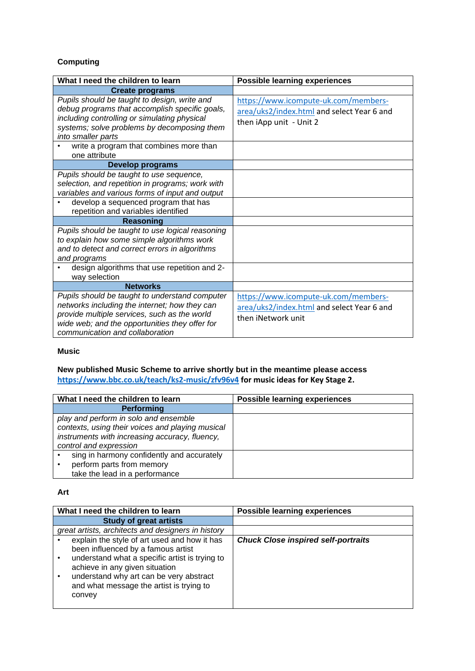## **Computing**

| What I need the children to learn                                                                                                                                                                                                    | <b>Possible learning experiences</b>                                                                          |
|--------------------------------------------------------------------------------------------------------------------------------------------------------------------------------------------------------------------------------------|---------------------------------------------------------------------------------------------------------------|
| <b>Create programs</b>                                                                                                                                                                                                               |                                                                                                               |
| Pupils should be taught to design, write and<br>debug programs that accomplish specific goals,<br>including controlling or simulating physical<br>systems; solve problems by decomposing them<br>into smaller parts                  | https://www.icompute-uk.com/members-<br>area/uks2/index.html and select Year 6 and<br>then iApp unit - Unit 2 |
| write a program that combines more than<br>one attribute                                                                                                                                                                             |                                                                                                               |
| <b>Develop programs</b>                                                                                                                                                                                                              |                                                                                                               |
| Pupils should be taught to use sequence,<br>selection, and repetition in programs; work with<br>variables and various forms of input and output                                                                                      |                                                                                                               |
| develop a sequenced program that has<br>repetition and variables identified                                                                                                                                                          |                                                                                                               |
| <b>Reasoning</b>                                                                                                                                                                                                                     |                                                                                                               |
| Pupils should be taught to use logical reasoning<br>to explain how some simple algorithms work<br>and to detect and correct errors in algorithms<br>and programs                                                                     |                                                                                                               |
| design algorithms that use repetition and 2-<br>way selection                                                                                                                                                                        |                                                                                                               |
| <b>Networks</b>                                                                                                                                                                                                                      |                                                                                                               |
| Pupils should be taught to understand computer<br>networks including the internet; how they can<br>provide multiple services, such as the world<br>wide web; and the opportunities they offer for<br>communication and collaboration | https://www.icompute-uk.com/members-<br>area/uks2/index.html and select Year 6 and<br>then iNetwork unit      |

#### **Music**

## **New published Music Scheme to arrive shortly but in the meantime please access <https://www.bbc.co.uk/teach/ks2-music/zfv96v4> for music ideas for Key Stage 2.**

| What I need the children to learn                | <b>Possible learning experiences</b> |
|--------------------------------------------------|--------------------------------------|
| <b>Performing</b>                                |                                      |
| play and perform in solo and ensemble            |                                      |
| contexts, using their voices and playing musical |                                      |
| instruments with increasing accuracy, fluency,   |                                      |
| control and expression                           |                                      |
| sing in harmony confidently and accurately       |                                      |
| perform parts from memory                        |                                      |
| take the lead in a performance                   |                                      |

#### **Art**

| What I need the children to learn                                                                                                                                                                                                                                       | <b>Possible learning experiences</b>       |
|-------------------------------------------------------------------------------------------------------------------------------------------------------------------------------------------------------------------------------------------------------------------------|--------------------------------------------|
| <b>Study of great artists</b>                                                                                                                                                                                                                                           |                                            |
| great artists, architects and designers in history                                                                                                                                                                                                                      |                                            |
| explain the style of art used and how it has<br>been influenced by a famous artist<br>understand what a specific artist is trying to<br>achieve in any given situation<br>understand why art can be very abstract<br>and what message the artist is trying to<br>convey | <b>Chuck Close inspired self-portraits</b> |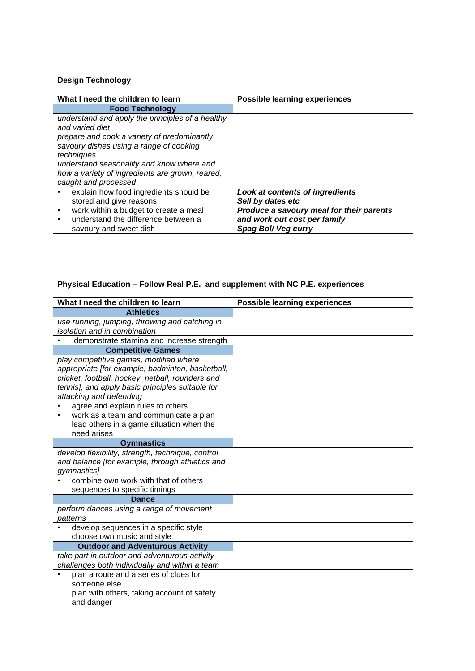## **Design Technology**

| What I need the children to learn                | <b>Possible learning experiences</b>     |
|--------------------------------------------------|------------------------------------------|
| <b>Food Technology</b>                           |                                          |
| understand and apply the principles of a healthy |                                          |
| and varied diet                                  |                                          |
| prepare and cook a variety of predominantly      |                                          |
| savoury dishes using a range of cooking          |                                          |
| techniques                                       |                                          |
| understand seasonality and know where and        |                                          |
| how a variety of ingredients are grown, reared,  |                                          |
| caught and processed                             |                                          |
| explain how food ingredients should be           | <b>Look at contents of ingredients</b>   |
| stored and give reasons                          | Sell by dates etc                        |
| work within a budget to create a meal<br>٠       | Produce a savoury meal for their parents |
| understand the difference between a              | and work out cost per family             |
| savoury and sweet dish                           | Spag Bol/Veg curry                       |

## **Physical Education – Follow Real P.E. and supplement with NC P.E. experiences**

| What I need the children to learn                                                                                                                                                                                                                                  | <b>Possible learning experiences</b> |
|--------------------------------------------------------------------------------------------------------------------------------------------------------------------------------------------------------------------------------------------------------------------|--------------------------------------|
| <b>Athletics</b>                                                                                                                                                                                                                                                   |                                      |
| use running, jumping, throwing and catching in<br>isolation and in combination                                                                                                                                                                                     |                                      |
| demonstrate stamina and increase strength                                                                                                                                                                                                                          |                                      |
| <b>Competitive Games</b>                                                                                                                                                                                                                                           |                                      |
| play competitive games, modified where<br>appropriate [for example, badminton, basketball,<br>cricket, football, hockey, netball, rounders and<br>tennis], and apply basic principles suitable for<br>attacking and defending<br>agree and explain rules to others |                                      |
| work as a team and communicate a plan<br>٠<br>lead others in a game situation when the<br>need arises                                                                                                                                                              |                                      |
| <b>Gymnastics</b>                                                                                                                                                                                                                                                  |                                      |
| develop flexibility, strength, technique, control<br>and balance [for example, through athletics and<br>gymnastics]                                                                                                                                                |                                      |
| combine own work with that of others<br>sequences to specific timings                                                                                                                                                                                              |                                      |
| <b>Dance</b>                                                                                                                                                                                                                                                       |                                      |
| perform dances using a range of movement<br>patterns                                                                                                                                                                                                               |                                      |
| develop sequences in a specific style                                                                                                                                                                                                                              |                                      |
| choose own music and style                                                                                                                                                                                                                                         |                                      |
| <b>Outdoor and Adventurous Activity</b><br>take part in outdoor and adventurous activity                                                                                                                                                                           |                                      |
| challenges both individually and within a team                                                                                                                                                                                                                     |                                      |
| plan a route and a series of clues for<br>someone else<br>plan with others, taking account of safety<br>and danger                                                                                                                                                 |                                      |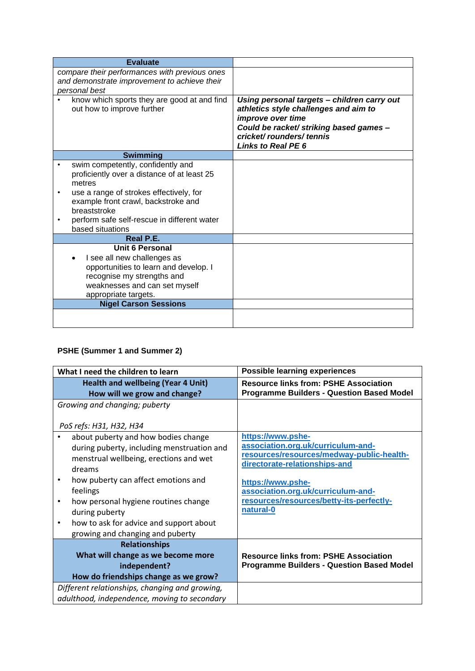| <b>Evaluate</b>                                                                                                                                                                |                                                                                                                                                                                                       |
|--------------------------------------------------------------------------------------------------------------------------------------------------------------------------------|-------------------------------------------------------------------------------------------------------------------------------------------------------------------------------------------------------|
| compare their performances with previous ones<br>and demonstrate improvement to achieve their                                                                                  |                                                                                                                                                                                                       |
| personal best                                                                                                                                                                  |                                                                                                                                                                                                       |
| know which sports they are good at and find<br>out how to improve further                                                                                                      | Using personal targets - children carry out<br>athletics style challenges and aim to<br>improve over time<br>Could be racket/ striking based games -<br>cricket/rounders/tennis<br>Links to Real PE 6 |
| <b>Swimming</b>                                                                                                                                                                |                                                                                                                                                                                                       |
| swim competently, confidently and<br>proficiently over a distance of at least 25<br>metres                                                                                     |                                                                                                                                                                                                       |
| use a range of strokes effectively, for<br>example front crawl, backstroke and<br>breaststroke                                                                                 |                                                                                                                                                                                                       |
| perform safe self-rescue in different water<br>based situations                                                                                                                |                                                                                                                                                                                                       |
| Real P.E.                                                                                                                                                                      |                                                                                                                                                                                                       |
| Unit 6 Personal<br>I see all new challenges as<br>opportunities to learn and develop. I<br>recognise my strengths and<br>weaknesses and can set myself<br>appropriate targets. |                                                                                                                                                                                                       |
| <b>Nigel Carson Sessions</b>                                                                                                                                                   |                                                                                                                                                                                                       |
|                                                                                                                                                                                |                                                                                                                                                                                                       |

## **PSHE (Summer 1 and Summer 2)**

| What I need the children to learn                                                                                                                                                                                                                                                                                                      | <b>Possible learning experiences</b>                                                                                                                                                                                                                      |
|----------------------------------------------------------------------------------------------------------------------------------------------------------------------------------------------------------------------------------------------------------------------------------------------------------------------------------------|-----------------------------------------------------------------------------------------------------------------------------------------------------------------------------------------------------------------------------------------------------------|
| <b>Health and wellbeing (Year 4 Unit)</b><br>How will we grow and change?                                                                                                                                                                                                                                                              | <b>Resource links from: PSHE Association</b><br><b>Programme Builders - Question Based Model</b>                                                                                                                                                          |
| Growing and changing; puberty<br>PoS refs: H31, H32, H34                                                                                                                                                                                                                                                                               |                                                                                                                                                                                                                                                           |
| about puberty and how bodies change<br>during puberty, including menstruation and<br>menstrual wellbeing, erections and wet<br>dreams<br>how puberty can affect emotions and<br>feelings<br>how personal hygiene routines change<br>during puberty<br>how to ask for advice and support about<br>٠<br>growing and changing and puberty | https://www.pshe-<br>association.org.uk/curriculum-and-<br>resources/resources/medway-public-health-<br>directorate-relationships-and<br>https://www.pshe-<br>association.org.uk/curriculum-and-<br>resources/resources/betty-its-perfectly-<br>natural-0 |
| <b>Relationships</b><br>What will change as we become more<br>independent?<br>How do friendships change as we grow?<br>Different relationships, changing and growing,                                                                                                                                                                  | <b>Resource links from: PSHE Association</b><br><b>Programme Builders - Question Based Model</b>                                                                                                                                                          |
| adulthood, independence, moving to secondary                                                                                                                                                                                                                                                                                           |                                                                                                                                                                                                                                                           |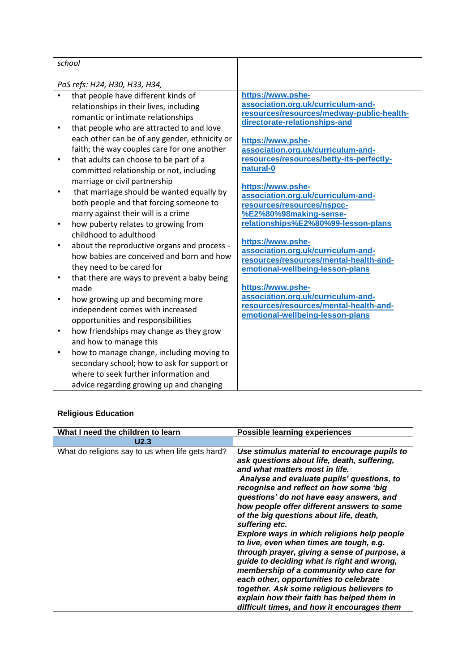$\overline{\phantom{a}}$ 

| $\bullet$<br>$\bullet$<br>$\bullet$<br>$\bullet$<br>$\bullet$<br>$\bullet$<br>$\bullet$<br>$\bullet$ | PoS refs: H24, H30, H33, H34,<br>that people have different kinds of<br>relationships in their lives, including<br>romantic or intimate relationships<br>that people who are attracted to and love<br>each other can be of any gender, ethnicity or<br>faith; the way couples care for one another<br>that adults can choose to be part of a<br>committed relationship or not, including<br>marriage or civil partnership<br>that marriage should be wanted equally by<br>both people and that forcing someone to<br>marry against their will is a crime<br>how puberty relates to growing from<br>childhood to adulthood<br>about the reproductive organs and process -<br>how babies are conceived and born and how<br>they need to be cared for<br>that there are ways to prevent a baby being<br>made<br>how growing up and becoming more<br>independent comes with increased<br>opportunities and responsibilities<br>how friendships may change as they grow<br>and how to manage this | https://www.pshe-<br>association.org.uk/curriculum-and-<br>resources/resources/medway-public-health-<br>directorate-relationships-and<br>https://www.pshe-<br>association.org.uk/curriculum-and-<br>resources/resources/betty-its-perfectly-<br>natural-0<br>https://www.pshe-<br>association.org.uk/curriculum-and-<br>resources/resources/nspcc-<br>%E2%80%98making-sense-<br>relationships%E2%80%99-lesson-plans<br>https://www.pshe-<br>association.org.uk/curriculum-and-<br>resources/resources/mental-health-and-<br>emotional-wellbeing-lesson-plans<br>https://www.pshe-<br>association.org.uk/curriculum-and-<br>resources/resources/mental-health-and-<br>emotional-wellbeing-lesson-plans |
|------------------------------------------------------------------------------------------------------|----------------------------------------------------------------------------------------------------------------------------------------------------------------------------------------------------------------------------------------------------------------------------------------------------------------------------------------------------------------------------------------------------------------------------------------------------------------------------------------------------------------------------------------------------------------------------------------------------------------------------------------------------------------------------------------------------------------------------------------------------------------------------------------------------------------------------------------------------------------------------------------------------------------------------------------------------------------------------------------------|-------------------------------------------------------------------------------------------------------------------------------------------------------------------------------------------------------------------------------------------------------------------------------------------------------------------------------------------------------------------------------------------------------------------------------------------------------------------------------------------------------------------------------------------------------------------------------------------------------------------------------------------------------------------------------------------------------|
|                                                                                                      |                                                                                                                                                                                                                                                                                                                                                                                                                                                                                                                                                                                                                                                                                                                                                                                                                                                                                                                                                                                              |                                                                                                                                                                                                                                                                                                                                                                                                                                                                                                                                                                                                                                                                                                       |
| $\bullet$                                                                                            | how to manage change, including moving to<br>secondary school; how to ask for support or<br>where to seek further information and<br>advice regarding growing up and changing                                                                                                                                                                                                                                                                                                                                                                                                                                                                                                                                                                                                                                                                                                                                                                                                                |                                                                                                                                                                                                                                                                                                                                                                                                                                                                                                                                                                                                                                                                                                       |

 $\overline{\phantom{a}}$ 

## **Religious Education**

| What I need the children to learn                | <b>Possible learning experiences</b>                                                                                                                                                                                                                                                                                                                                                                                                                                                                                                                                                                                                                                                                                                                                                                |
|--------------------------------------------------|-----------------------------------------------------------------------------------------------------------------------------------------------------------------------------------------------------------------------------------------------------------------------------------------------------------------------------------------------------------------------------------------------------------------------------------------------------------------------------------------------------------------------------------------------------------------------------------------------------------------------------------------------------------------------------------------------------------------------------------------------------------------------------------------------------|
| U2.3                                             |                                                                                                                                                                                                                                                                                                                                                                                                                                                                                                                                                                                                                                                                                                                                                                                                     |
| What do religions say to us when life gets hard? | Use stimulus material to encourage pupils to<br>ask questions about life, death, suffering,<br>and what matters most in life.<br>Analyse and evaluate pupils' questions, to<br>recognise and reflect on how some 'big<br>questions' do not have easy answers, and<br>how people offer different answers to some<br>of the big questions about life, death,<br>suffering etc.<br>Explore ways in which religions help people<br>to live, even when times are tough, e.g.<br>through prayer, giving a sense of purpose, a<br>guide to deciding what is right and wrong,<br>membership of a community who care for<br>each other, opportunities to celebrate<br>together. Ask some religious believers to<br>explain how their faith has helped them in<br>difficult times, and how it encourages them |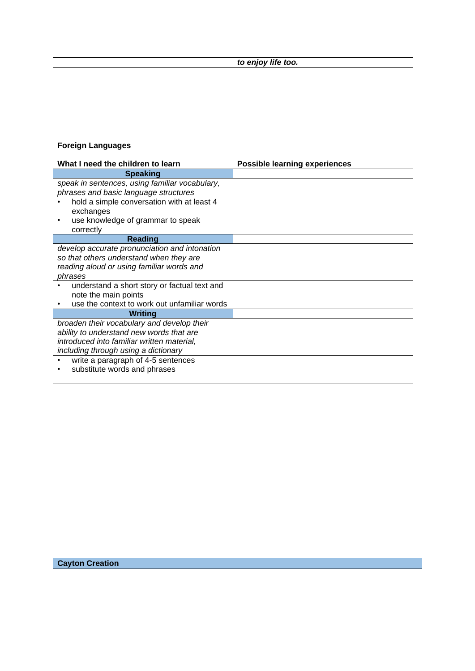*to enjoy life too.*

## **Foreign Languages**

| What I need the children to learn              | <b>Possible learning experiences</b> |
|------------------------------------------------|--------------------------------------|
| <b>Speaking</b>                                |                                      |
| speak in sentences, using familiar vocabulary, |                                      |
| phrases and basic language structures          |                                      |
| hold a simple conversation with at least 4     |                                      |
| exchanges                                      |                                      |
| use knowledge of grammar to speak<br>٠         |                                      |
| correctly                                      |                                      |
| <b>Reading</b>                                 |                                      |
| develop accurate pronunciation and intonation  |                                      |
| so that others understand when they are        |                                      |
| reading aloud or using familiar words and      |                                      |
| phrases                                        |                                      |
| understand a short story or factual text and   |                                      |
| note the main points                           |                                      |
| use the context to work out unfamiliar words   |                                      |
| <b>Writing</b>                                 |                                      |
| broaden their vocabulary and develop their     |                                      |
| ability to understand new words that are       |                                      |
| introduced into familiar written material,     |                                      |
| including through using a dictionary           |                                      |
| write a paragraph of 4-5 sentences             |                                      |
| substitute words and phrases                   |                                      |
|                                                |                                      |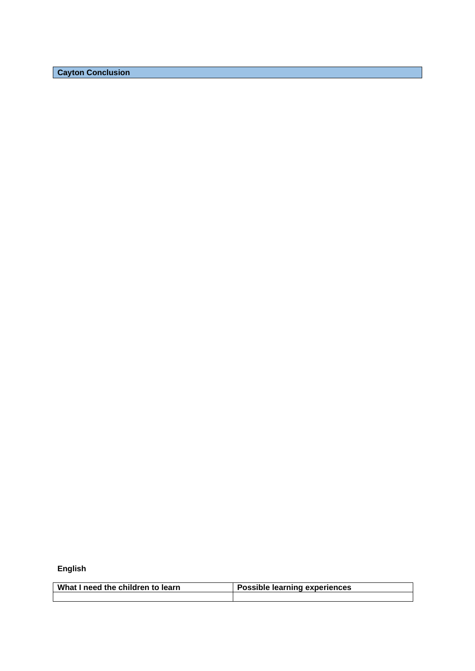**Cayton Conclusion**

**English**

| What I need the children to learn | <b>Possible learning experiences</b> |
|-----------------------------------|--------------------------------------|
|                                   |                                      |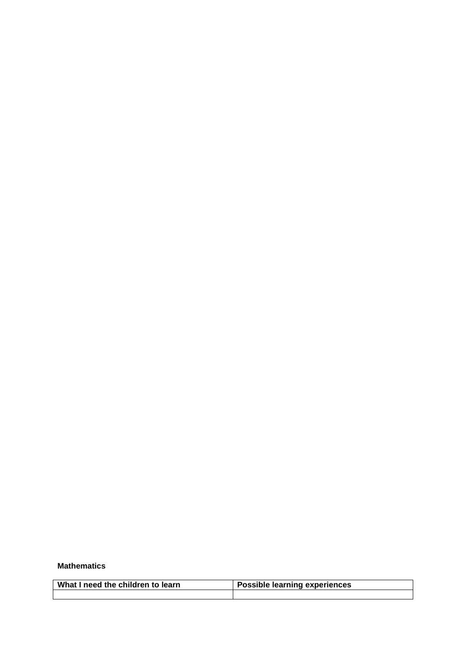#### **Mathematics**

| What I need the children to learn | <b>Possible learning experiences</b> |
|-----------------------------------|--------------------------------------|
|                                   |                                      |